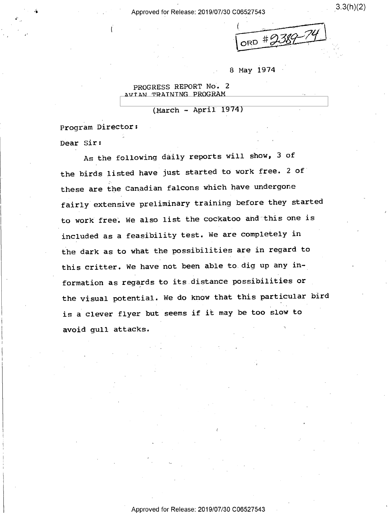Approved for Release: 2019/07/30 C06527543 <sup>0</sup>

 $3.3(h)(2)$ 

 $\overline{ }$ . لپ  $ORD$  #  $2007$ 

8 May 1974

1

PROGRESS REPORT No. 2 AVIAN TRAINING PROGRAM

 $(March - April 1974)$ 

Program Director:

(4

Dear Sir:

As the following daily reports will show, 3 of the birds listed have just started to work free. 2 of' these are the Canadian falcons which have undergone fairly extensive preliminary training before they started to work free; We also list the cockatoo and this one is included as a feasibility test. We are completely in the dark as to what the possibilities are in regard to this critter. We have not been able to.dig up any information as regards to its distance possibilities or \_ the visual potential. We do know that this particular bird is a clever flyer but seems if it may be too slow to avoid qull attacks.

(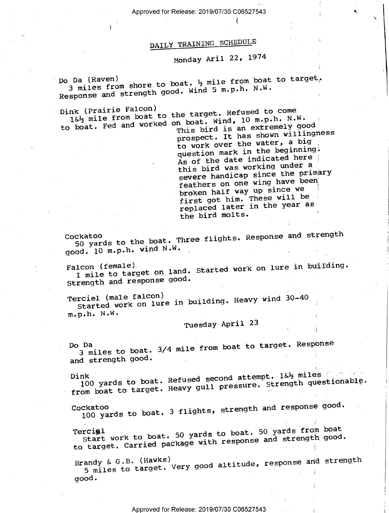Approved for Release: 2019/07/30 C06527543

 $\mathbf{v} = \mathbf{v}$  and  $\mathbf{v} = \mathbf{v}$  and  $\mathbf{v} = \mathbf{v}$  and  $\mathbf{v} = \mathbf{v}$ 

# DAILY TRAINING SCHEDULE

# Monday Aril 22, <sup>1974</sup>

Do Da (Raven)<br>3 miles from shore to boat. ½ mile from boat to target.<br>1. wiles from the mode wind 5 m.p.h. N.W. Response and strength good. Wind 5 m.p.h. N.W.

г.

Dink (Prairie Falcon)<br>1&% mile from boat to the target. Refused to come<br>1&% mile from boat boat, Wind, 10 m.p.h. N.W to boat. Fed and worked on boat. Wind, 10 m.p.h. N.W.

This bird is an extremely good prospect. It has shown willingness to work over the water, a big question mark in the beginning.  $As$  of the date indicated here  $\frac{3}{4}$ this bird was working under <sup>a</sup> severe handicap since the primary feathers on one wing have been broken half way up since we first got him. These will be replaced later in the year as the bird molts.

 $\mathbf{I}_\mathrm{S}$  and  $\mathbf{I}_\mathrm{S}$  .

Cockatoo<br>50 yards to the boat. Three flights. Response and strength<br>W.W. good. 10 m.p.h. wind N.W. '

Falcon (female)<br>I mile to target on land. Started work on lure in building.<br>I mile to target good. Strength and response good. .

Terciel (male falcon)<br>Started work on lure in building. Heavy wind 30-40  $m, p, h.$  N.W.

Tuesday April 23

Do Da<br>3 miles to boat. 3/4 mile from boat to target. Response and strength good.

Dink nk<br>100 yards to boat. Refused second attempt. 1&½ miles \* \* \* \* \* \*<br>Heavy qull pressure, Strength questionable. 100 yards to boat. Refused scoons exampled and questionable.<br>from boat to target. Heavy gull pressure. Strength questionable.

Cockatoo<br>100 yards to boat. 3 flights, strength and response good.

Tercigl<br>Start work to boat. 50 yards to boat. 50 yards from boat<br>Right of Cauginal package with response and strength good. to target. Carried package with response and strength good.

Brandy & G.B. (Hawks)<br>5 miles to target. Very good altitude, response and strength  $\mathsf{good}$  .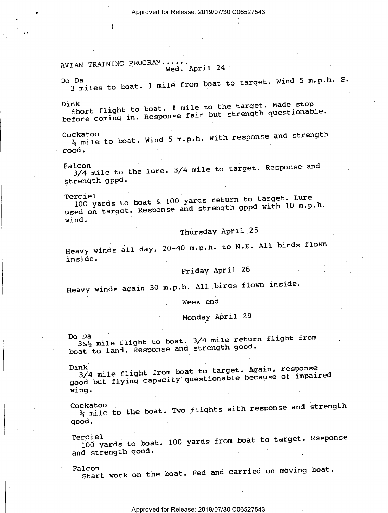€

### AVIAN TRAINING PROGRAM... Wed. April 24

(

Do Da<br>3 miles to boat. 1 mile from boat to target. Wind 5 m.p.n. S.

Dink Short flight to boat. I mile to the target. Made stop before coming in. Response fair but strength questionable.

Cockatoo<br>  $\frac{1}{4}$  mile to boat. Wind 5 m.p.h. with response and strength good. -

Falcon<br>3/4 mile to the lure. 3/4 mile to target. Response and strength gppd.

Terciel<br>100 yards to boat & 100 yards return to target. Lure<br>concerned and strength good with 10 m.p. used on target. Response and strength gppd with 10 m.p.h. wind.

### Thursday April 25

Heavy winds all day, 20–40 m.p.h. to N.E. All birds flown inside.

## Friday April 26

Heavy winds again 30 m.p.h. All birds flown inside.

Week end

## Monday April 29

Do Da<br>3&<sup>1</sup>/<sub>2</sub> mile flight to boat. 3/4 mile return flight from<br>Docmonse and strength good. boat to land. Response and strength good.

Dink<br>3/4 mile flight from boat to target. Again, response<br>22 Miles Caracity questionable because of impair good but flying capacity questionable because of impaired wing. The contract of the contract of the contract of the contract of the contract of the contract of the contract of the contract of the contract of the contract of the contract of the contract of the contract of the cont

Cockatoo  $\frac{1}{4}$  mile to the boat. Two flights with response and strength good. -

Terciel 100 yards to boat. 100 yards from boat to target. Response and strength good.

Falcon<br>Start work on the boat. Fed and carried on moving boat.